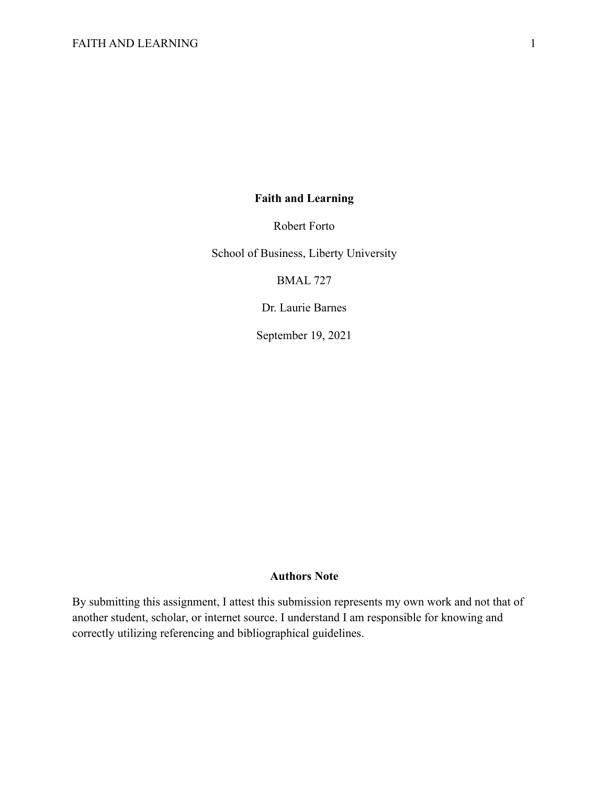# **Faith and Learning**

Robert Forto

School of Business, Liberty University

BMAL 727

Dr. Laurie Barnes

September 19, 2021

## **Authors Note**

By submitting this assignment, I attest this submission represents my own work and not that of another student, scholar, or internet source. I understand I am responsible for knowing and correctly utilizing referencing and bibliographical guidelines.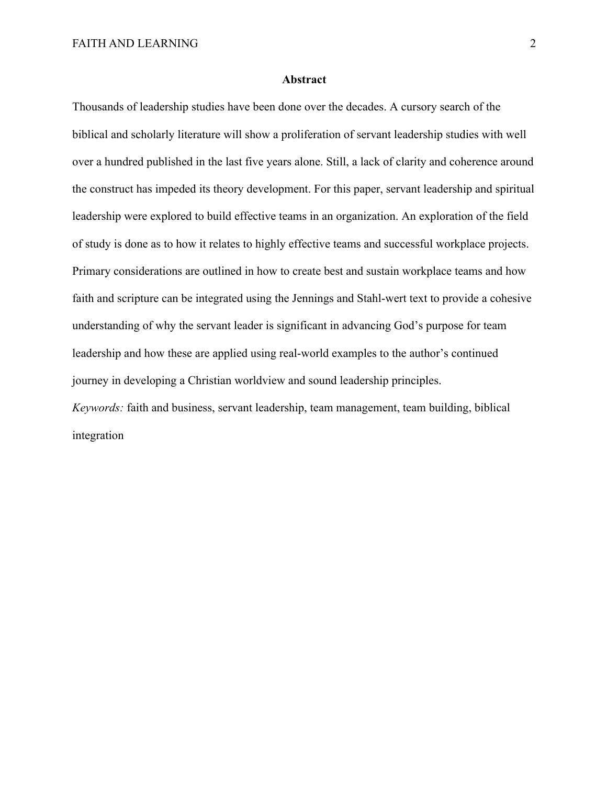### **Abstract**

Thousands of leadership studies have been done over the decades. A cursory search of the biblical and scholarly literature will show a proliferation of servant leadership studies with well over a hundred published in the last five years alone. Still, a lack of clarity and coherence around the construct has impeded its theory development. For this paper, servant leadership and spiritual leadership were explored to build effective teams in an organization. An exploration of the field of study is done as to how it relates to highly effective teams and successful workplace projects. Primary considerations are outlined in how to create best and sustain workplace teams and how faith and scripture can be integrated using the Jennings and Stahl-wert text to provide a cohesive understanding of why the servant leader is significant in advancing God's purpose for team leadership and how these are applied using real-world examples to the author's continued journey in developing a Christian worldview and sound leadership principles. *Keywords:* faith and business, servant leadership, team management, team building, biblical integration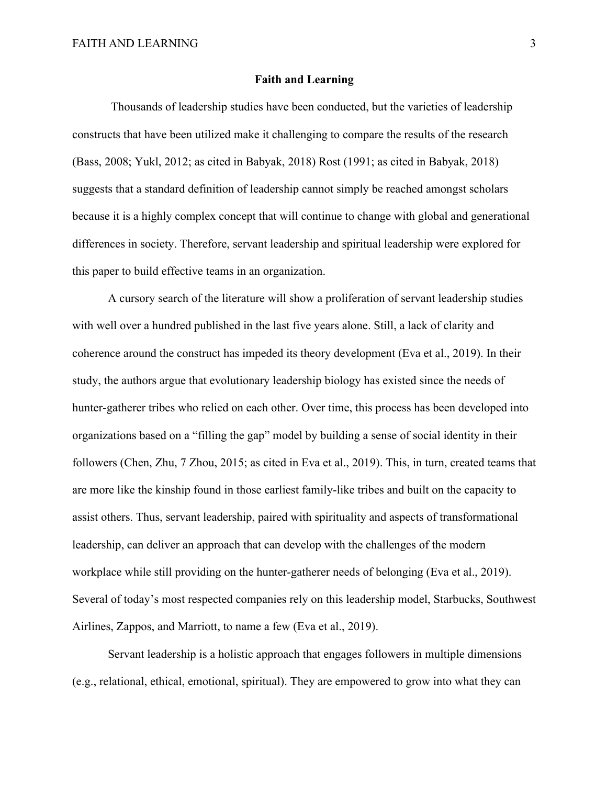### **Faith and Learning**

Thousands of leadership studies have been conducted, but the varieties of leadership constructs that have been utilized make it challenging to compare the results of the research (Bass, 2008; Yukl, 2012; as cited in Babyak, 2018) Rost (1991; as cited in Babyak, 2018) suggests that a standard definition of leadership cannot simply be reached amongst scholars because it is a highly complex concept that will continue to change with global and generational differences in society. Therefore, servant leadership and spiritual leadership were explored for this paper to build effective teams in an organization.

A cursory search of the literature will show a proliferation of servant leadership studies with well over a hundred published in the last five years alone. Still, a lack of clarity and coherence around the construct has impeded its theory development (Eva et al., 2019). In their study, the authors argue that evolutionary leadership biology has existed since the needs of hunter-gatherer tribes who relied on each other. Over time, this process has been developed into organizations based on a "filling the gap" model by building a sense of social identity in their followers (Chen, Zhu, 7 Zhou, 2015; as cited in Eva et al., 2019). This, in turn, created teams that are more like the kinship found in those earliest family-like tribes and built on the capacity to assist others. Thus, servant leadership, paired with spirituality and aspects of transformational leadership, can deliver an approach that can develop with the challenges of the modern workplace while still providing on the hunter-gatherer needs of belonging (Eva et al., 2019). Several of today's most respected companies rely on this leadership model, Starbucks, Southwest Airlines, Zappos, and Marriott, to name a few (Eva et al., 2019).

Servant leadership is a holistic approach that engages followers in multiple dimensions (e.g., relational, ethical, emotional, spiritual). They are empowered to grow into what they can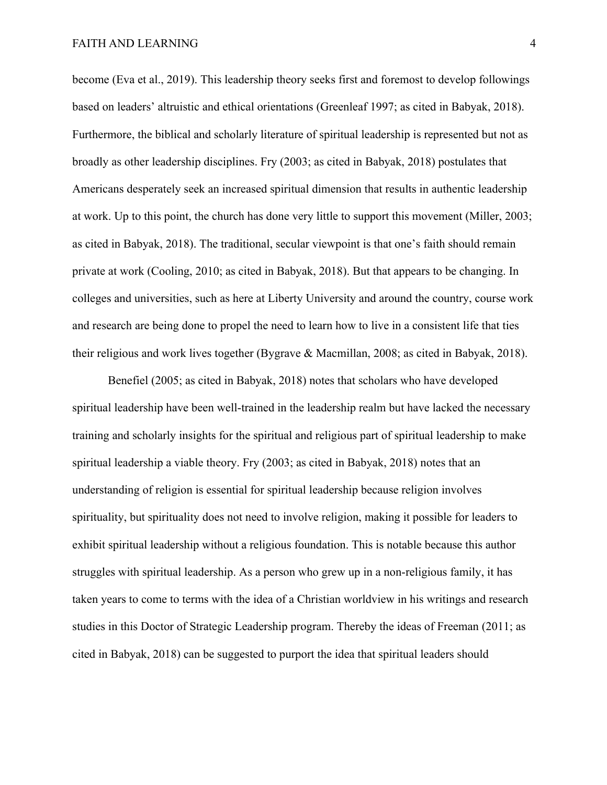become (Eva et al., 2019). This leadership theory seeks first and foremost to develop followings based on leaders' altruistic and ethical orientations (Greenleaf 1997; as cited in Babyak, 2018). Furthermore, the biblical and scholarly literature of spiritual leadership is represented but not as broadly as other leadership disciplines. Fry (2003; as cited in Babyak, 2018) postulates that Americans desperately seek an increased spiritual dimension that results in authentic leadership at work. Up to this point, the church has done very little to support this movement (Miller, 2003; as cited in Babyak, 2018). The traditional, secular viewpoint is that one's faith should remain private at work (Cooling, 2010; as cited in Babyak, 2018). But that appears to be changing. In colleges and universities, such as here at Liberty University and around the country, course work and research are being done to propel the need to learn how to live in a consistent life that ties their religious and work lives together (Bygrave & Macmillan, 2008; as cited in Babyak, 2018).

Benefiel (2005; as cited in Babyak, 2018) notes that scholars who have developed spiritual leadership have been well-trained in the leadership realm but have lacked the necessary training and scholarly insights for the spiritual and religious part of spiritual leadership to make spiritual leadership a viable theory. Fry (2003; as cited in Babyak, 2018) notes that an understanding of religion is essential for spiritual leadership because religion involves spirituality, but spirituality does not need to involve religion, making it possible for leaders to exhibit spiritual leadership without a religious foundation. This is notable because this author struggles with spiritual leadership. As a person who grew up in a non-religious family, it has taken years to come to terms with the idea of a Christian worldview in his writings and research studies in this Doctor of Strategic Leadership program. Thereby the ideas of Freeman (2011; as cited in Babyak, 2018) can be suggested to purport the idea that spiritual leaders should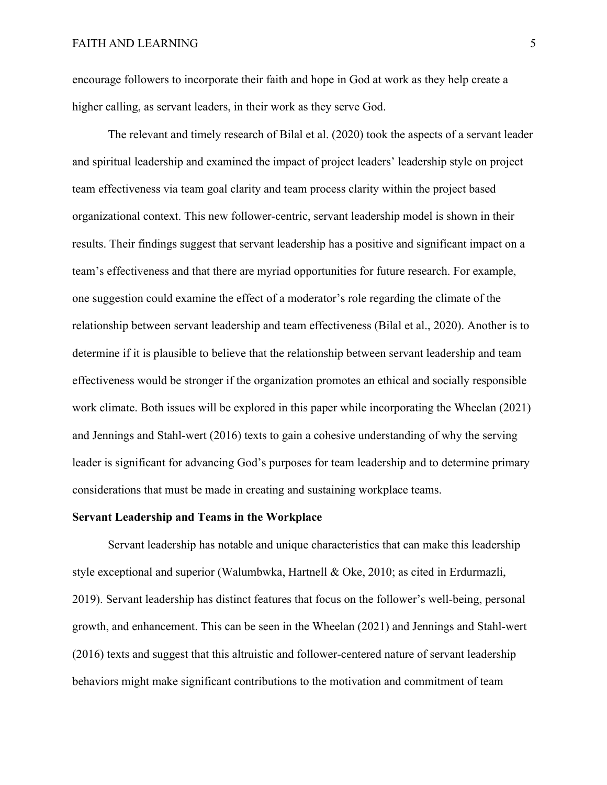encourage followers to incorporate their faith and hope in God at work as they help create a higher calling, as servant leaders, in their work as they serve God.

The relevant and timely research of Bilal et al. (2020) took the aspects of a servant leader and spiritual leadership and examined the impact of project leaders' leadership style on project team effectiveness via team goal clarity and team process clarity within the project based organizational context. This new follower-centric, servant leadership model is shown in their results. Their findings suggest that servant leadership has a positive and significant impact on a team's effectiveness and that there are myriad opportunities for future research. For example, one suggestion could examine the effect of a moderator's role regarding the climate of the relationship between servant leadership and team effectiveness (Bilal et al., 2020). Another is to determine if it is plausible to believe that the relationship between servant leadership and team effectiveness would be stronger if the organization promotes an ethical and socially responsible work climate. Both issues will be explored in this paper while incorporating the Wheelan (2021) and Jennings and Stahl-wert (2016) texts to gain a cohesive understanding of why the serving leader is significant for advancing God's purposes for team leadership and to determine primary considerations that must be made in creating and sustaining workplace teams.

### **Servant Leadership and Teams in the Workplace**

Servant leadership has notable and unique characteristics that can make this leadership style exceptional and superior (Walumbwka, Hartnell & Oke, 2010; as cited in Erdurmazli, 2019). Servant leadership has distinct features that focus on the follower's well-being, personal growth, and enhancement. This can be seen in the Wheelan (2021) and Jennings and Stahl-wert (2016) texts and suggest that this altruistic and follower-centered nature of servant leadership behaviors might make significant contributions to the motivation and commitment of team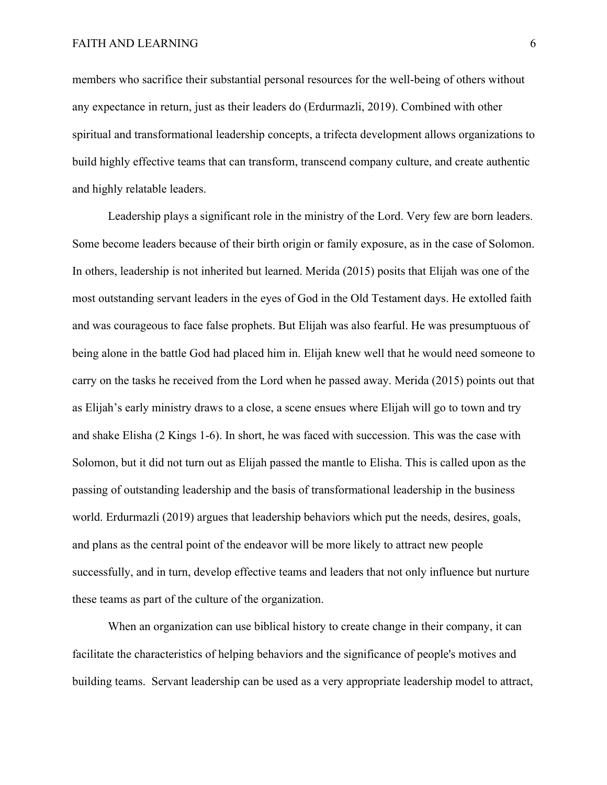members who sacrifice their substantial personal resources for the well-being of others without any expectance in return, just as their leaders do (Erdurmazli, 2019). Combined with other spiritual and transformational leadership concepts, a trifecta development allows organizations to build highly effective teams that can transform, transcend company culture, and create authentic and highly relatable leaders.

Leadership plays a significant role in the ministry of the Lord. Very few are born leaders. Some become leaders because of their birth origin or family exposure, as in the case of Solomon. In others, leadership is not inherited but learned. Merida (2015) posits that Elijah was one of the most outstanding servant leaders in the eyes of God in the Old Testament days. He extolled faith and was courageous to face false prophets. But Elijah was also fearful. He was presumptuous of being alone in the battle God had placed him in. Elijah knew well that he would need someone to carry on the tasks he received from the Lord when he passed away. Merida (2015) points out that as Elijah's early ministry draws to a close, a scene ensues where Elijah will go to town and try and shake Elisha (2 Kings 1-6). In short, he was faced with succession. This was the case with Solomon, but it did not turn out as Elijah passed the mantle to Elisha. This is called upon as the passing of outstanding leadership and the basis of transformational leadership in the business world. Erdurmazli (2019) argues that leadership behaviors which put the needs, desires, goals, and plans as the central point of the endeavor will be more likely to attract new people successfully, and in turn, develop effective teams and leaders that not only influence but nurture these teams as part of the culture of the organization.

When an organization can use biblical history to create change in their company, it can facilitate the characteristics of helping behaviors and the significance of people's motives and building teams. Servant leadership can be used as a very appropriate leadership model to attract,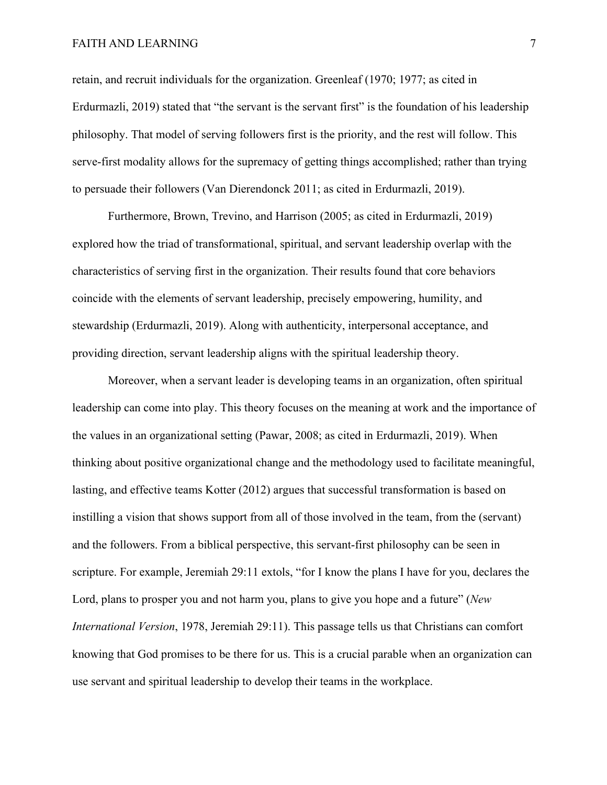retain, and recruit individuals for the organization. Greenleaf (1970; 1977; as cited in Erdurmazli, 2019) stated that "the servant is the servant first" is the foundation of his leadership philosophy. That model of serving followers first is the priority, and the rest will follow. This serve-first modality allows for the supremacy of getting things accomplished; rather than trying to persuade their followers (Van Dierendonck 2011; as cited in Erdurmazli, 2019).

Furthermore, Brown, Trevino, and Harrison (2005; as cited in Erdurmazli, 2019) explored how the triad of transformational, spiritual, and servant leadership overlap with the characteristics of serving first in the organization. Their results found that core behaviors coincide with the elements of servant leadership, precisely empowering, humility, and stewardship (Erdurmazli, 2019). Along with authenticity, interpersonal acceptance, and providing direction, servant leadership aligns with the spiritual leadership theory.

Moreover, when a servant leader is developing teams in an organization, often spiritual leadership can come into play. This theory focuses on the meaning at work and the importance of the values in an organizational setting (Pawar, 2008; as cited in Erdurmazli, 2019). When thinking about positive organizational change and the methodology used to facilitate meaningful, lasting, and effective teams Kotter (2012) argues that successful transformation is based on instilling a vision that shows support from all of those involved in the team, from the (servant) and the followers. From a biblical perspective, this servant-first philosophy can be seen in scripture. For example, Jeremiah 29:11 extols, "for I know the plans I have for you, declares the Lord, plans to prosper you and not harm you, plans to give you hope and a future" (*New International Version*, 1978, Jeremiah 29:11). This passage tells us that Christians can comfort knowing that God promises to be there for us. This is a crucial parable when an organization can use servant and spiritual leadership to develop their teams in the workplace.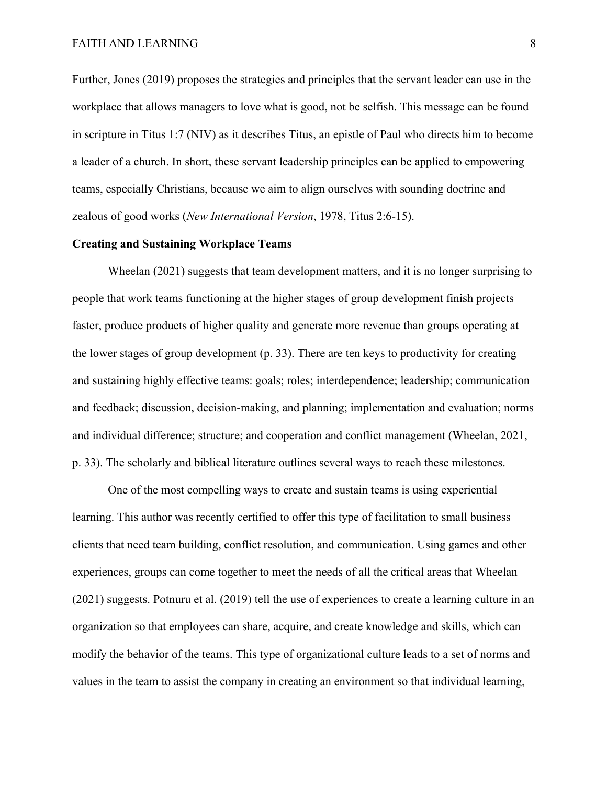Further, Jones (2019) proposes the strategies and principles that the servant leader can use in the workplace that allows managers to love what is good, not be selfish. This message can be found in scripture in Titus 1:7 (NIV) as it describes Titus, an epistle of Paul who directs him to become a leader of a church. In short, these servant leadership principles can be applied to empowering teams, especially Christians, because we aim to align ourselves with sounding doctrine and zealous of good works (*New International Version*, 1978, Titus 2:6-15).

#### **Creating and Sustaining Workplace Teams**

Wheelan (2021) suggests that team development matters, and it is no longer surprising to people that work teams functioning at the higher stages of group development finish projects faster, produce products of higher quality and generate more revenue than groups operating at the lower stages of group development (p. 33). There are ten keys to productivity for creating and sustaining highly effective teams: goals; roles; interdependence; leadership; communication and feedback; discussion, decision-making, and planning; implementation and evaluation; norms and individual difference; structure; and cooperation and conflict management (Wheelan, 2021, p. 33). The scholarly and biblical literature outlines several ways to reach these milestones.

One of the most compelling ways to create and sustain teams is using experiential learning. This author was recently certified to offer this type of facilitation to small business clients that need team building, conflict resolution, and communication. Using games and other experiences, groups can come together to meet the needs of all the critical areas that Wheelan (2021) suggests. Potnuru et al. (2019) tell the use of experiences to create a learning culture in an organization so that employees can share, acquire, and create knowledge and skills, which can modify the behavior of the teams. This type of organizational culture leads to a set of norms and values in the team to assist the company in creating an environment so that individual learning,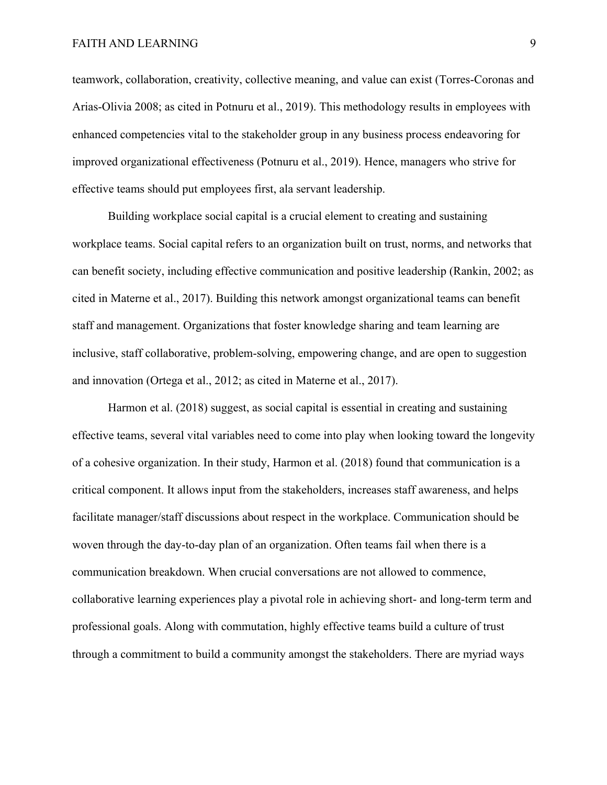teamwork, collaboration, creativity, collective meaning, and value can exist (Torres-Coronas and Arias-Olivia 2008; as cited in Potnuru et al., 2019). This methodology results in employees with enhanced competencies vital to the stakeholder group in any business process endeavoring for improved organizational effectiveness (Potnuru et al., 2019). Hence, managers who strive for effective teams should put employees first, ala servant leadership.

Building workplace social capital is a crucial element to creating and sustaining workplace teams. Social capital refers to an organization built on trust, norms, and networks that can benefit society, including effective communication and positive leadership (Rankin, 2002; as cited in Materne et al., 2017). Building this network amongst organizational teams can benefit staff and management. Organizations that foster knowledge sharing and team learning are inclusive, staff collaborative, problem-solving, empowering change, and are open to suggestion and innovation (Ortega et al., 2012; as cited in Materne et al., 2017).

Harmon et al. (2018) suggest, as social capital is essential in creating and sustaining effective teams, several vital variables need to come into play when looking toward the longevity of a cohesive organization. In their study, Harmon et al. (2018) found that communication is a critical component. It allows input from the stakeholders, increases staff awareness, and helps facilitate manager/staff discussions about respect in the workplace. Communication should be woven through the day-to-day plan of an organization. Often teams fail when there is a communication breakdown. When crucial conversations are not allowed to commence, collaborative learning experiences play a pivotal role in achieving short- and long-term term and professional goals. Along with commutation, highly effective teams build a culture of trust through a commitment to build a community amongst the stakeholders. There are myriad ways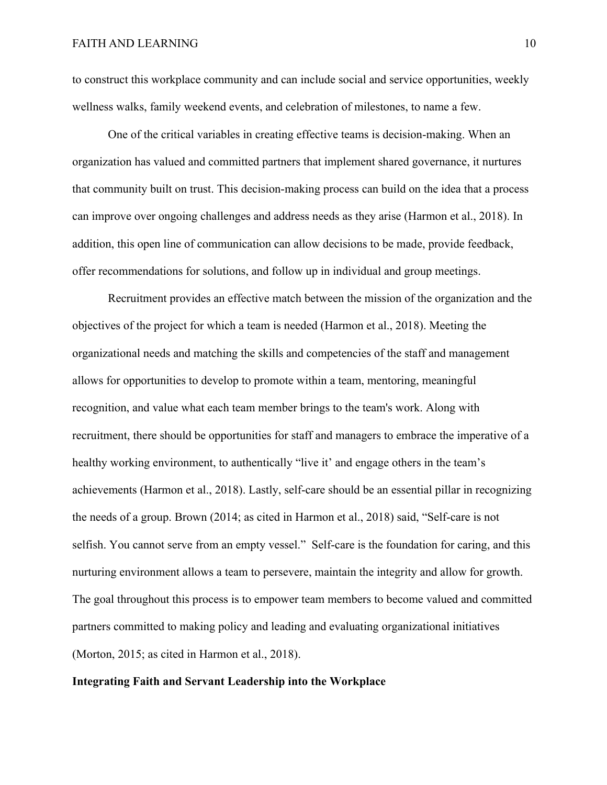to construct this workplace community and can include social and service opportunities, weekly wellness walks, family weekend events, and celebration of milestones, to name a few.

One of the critical variables in creating effective teams is decision-making. When an organization has valued and committed partners that implement shared governance, it nurtures that community built on trust. This decision-making process can build on the idea that a process can improve over ongoing challenges and address needs as they arise (Harmon et al., 2018). In addition, this open line of communication can allow decisions to be made, provide feedback, offer recommendations for solutions, and follow up in individual and group meetings.

Recruitment provides an effective match between the mission of the organization and the objectives of the project for which a team is needed (Harmon et al., 2018). Meeting the organizational needs and matching the skills and competencies of the staff and management allows for opportunities to develop to promote within a team, mentoring, meaningful recognition, and value what each team member brings to the team's work. Along with recruitment, there should be opportunities for staff and managers to embrace the imperative of a healthy working environment, to authentically "live it' and engage others in the team's achievements (Harmon et al., 2018). Lastly, self-care should be an essential pillar in recognizing the needs of a group. Brown (2014; as cited in Harmon et al., 2018) said, "Self-care is not selfish. You cannot serve from an empty vessel." Self-care is the foundation for caring, and this nurturing environment allows a team to persevere, maintain the integrity and allow for growth. The goal throughout this process is to empower team members to become valued and committed partners committed to making policy and leading and evaluating organizational initiatives (Morton, 2015; as cited in Harmon et al., 2018).

## **Integrating Faith and Servant Leadership into the Workplace**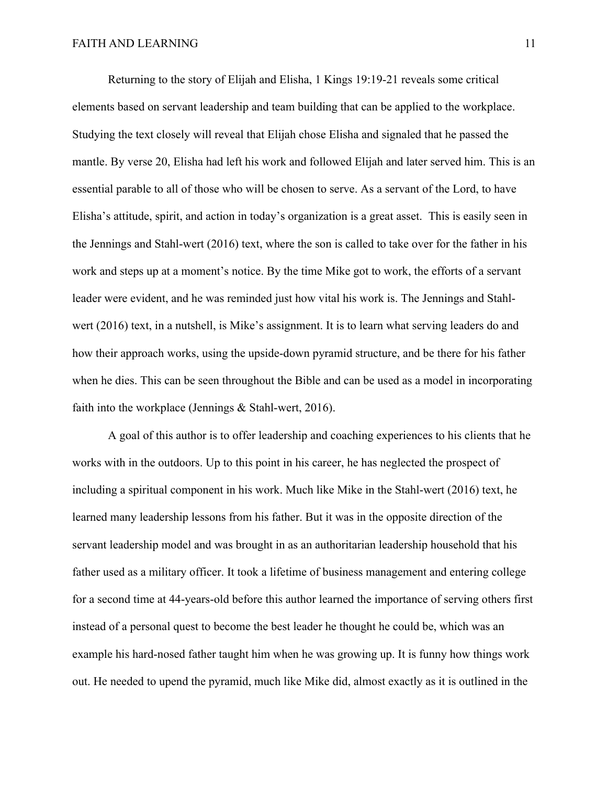Returning to the story of Elijah and Elisha, 1 Kings 19:19-21 reveals some critical elements based on servant leadership and team building that can be applied to the workplace. Studying the text closely will reveal that Elijah chose Elisha and signaled that he passed the mantle. By verse 20, Elisha had left his work and followed Elijah and later served him. This is an essential parable to all of those who will be chosen to serve. As a servant of the Lord, to have Elisha's attitude, spirit, and action in today's organization is a great asset. This is easily seen in the Jennings and Stahl-wert (2016) text, where the son is called to take over for the father in his work and steps up at a moment's notice. By the time Mike got to work, the efforts of a servant leader were evident, and he was reminded just how vital his work is. The Jennings and Stahlwert (2016) text, in a nutshell, is Mike's assignment. It is to learn what serving leaders do and how their approach works, using the upside-down pyramid structure, and be there for his father when he dies. This can be seen throughout the Bible and can be used as a model in incorporating faith into the workplace (Jennings & Stahl-wert, 2016).

A goal of this author is to offer leadership and coaching experiences to his clients that he works with in the outdoors. Up to this point in his career, he has neglected the prospect of including a spiritual component in his work. Much like Mike in the Stahl-wert (2016) text, he learned many leadership lessons from his father. But it was in the opposite direction of the servant leadership model and was brought in as an authoritarian leadership household that his father used as a military officer. It took a lifetime of business management and entering college for a second time at 44-years-old before this author learned the importance of serving others first instead of a personal quest to become the best leader he thought he could be, which was an example his hard-nosed father taught him when he was growing up. It is funny how things work out. He needed to upend the pyramid, much like Mike did, almost exactly as it is outlined in the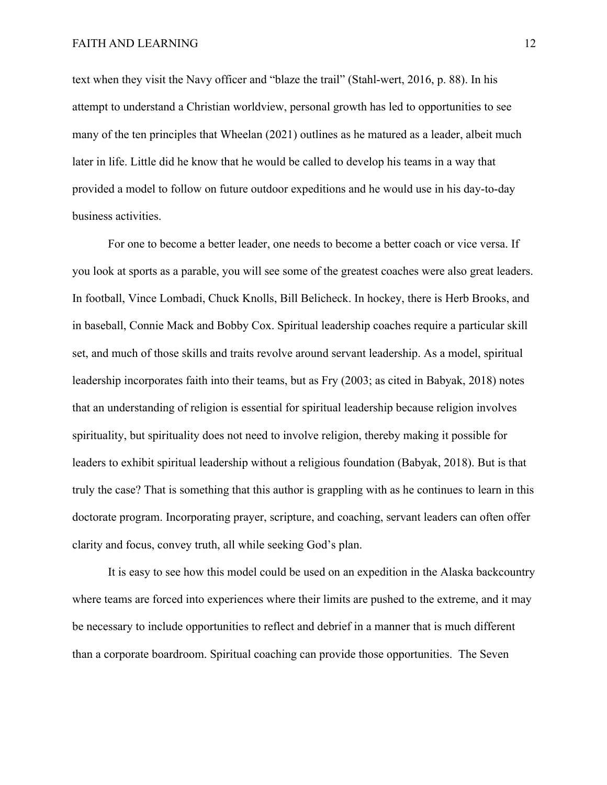text when they visit the Navy officer and "blaze the trail" (Stahl-wert, 2016, p. 88). In his attempt to understand a Christian worldview, personal growth has led to opportunities to see many of the ten principles that Wheelan (2021) outlines as he matured as a leader, albeit much later in life. Little did he know that he would be called to develop his teams in a way that provided a model to follow on future outdoor expeditions and he would use in his day-to-day business activities.

For one to become a better leader, one needs to become a better coach or vice versa. If you look at sports as a parable, you will see some of the greatest coaches were also great leaders. In football, Vince Lombadi, Chuck Knolls, Bill Belicheck. In hockey, there is Herb Brooks, and in baseball, Connie Mack and Bobby Cox. Spiritual leadership coaches require a particular skill set, and much of those skills and traits revolve around servant leadership. As a model, spiritual leadership incorporates faith into their teams, but as Fry (2003; as cited in Babyak, 2018) notes that an understanding of religion is essential for spiritual leadership because religion involves spirituality, but spirituality does not need to involve religion, thereby making it possible for leaders to exhibit spiritual leadership without a religious foundation (Babyak, 2018). But is that truly the case? That is something that this author is grappling with as he continues to learn in this doctorate program. Incorporating prayer, scripture, and coaching, servant leaders can often offer clarity and focus, convey truth, all while seeking God's plan.

It is easy to see how this model could be used on an expedition in the Alaska backcountry where teams are forced into experiences where their limits are pushed to the extreme, and it may be necessary to include opportunities to reflect and debrief in a manner that is much different than a corporate boardroom. Spiritual coaching can provide those opportunities. The Seven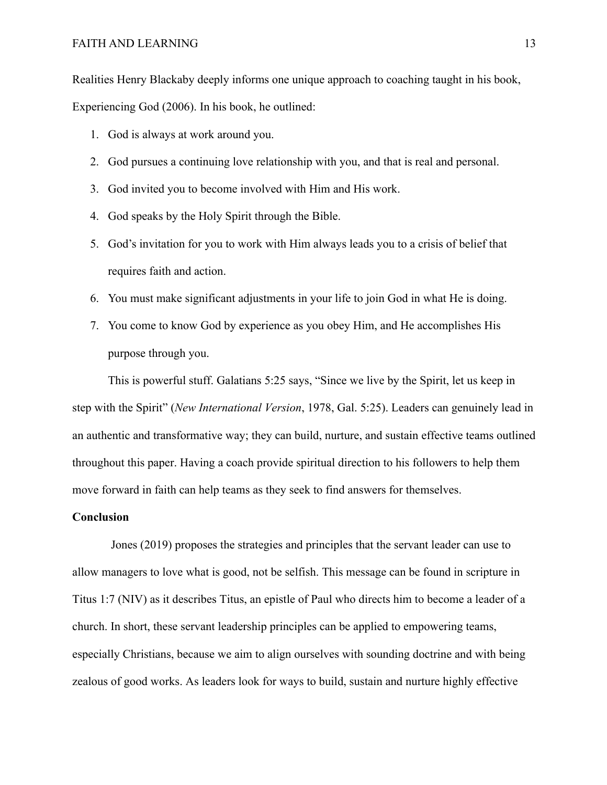Realities Henry Blackaby deeply informs one unique approach to coaching taught in his book, Experiencing God (2006). In his book, he outlined:

- 1. God is always at work around you.
- 2. God pursues a continuing love relationship with you, and that is real and personal.
- 3. God invited you to become involved with Him and His work.
- 4. God speaks by the Holy Spirit through the Bible.
- 5. God's invitation for you to work with Him always leads you to a crisis of belief that requires faith and action.
- 6. You must make significant adjustments in your life to join God in what He is doing.
- 7. You come to know God by experience as you obey Him, and He accomplishes His purpose through you.

This is powerful stuff. Galatians 5:25 says, "Since we live by the Spirit, let us keep in step with the Spirit" (*New International Version*, 1978, Gal. 5:25). Leaders can genuinely lead in an authentic and transformative way; they can build, nurture, and sustain effective teams outlined throughout this paper. Having a coach provide spiritual direction to his followers to help them move forward in faith can help teams as they seek to find answers for themselves.

### **Conclusion**

Jones (2019) proposes the strategies and principles that the servant leader can use to allow managers to love what is good, not be selfish. This message can be found in scripture in Titus 1:7 (NIV) as it describes Titus, an epistle of Paul who directs him to become a leader of a church. In short, these servant leadership principles can be applied to empowering teams, especially Christians, because we aim to align ourselves with sounding doctrine and with being zealous of good works. As leaders look for ways to build, sustain and nurture highly effective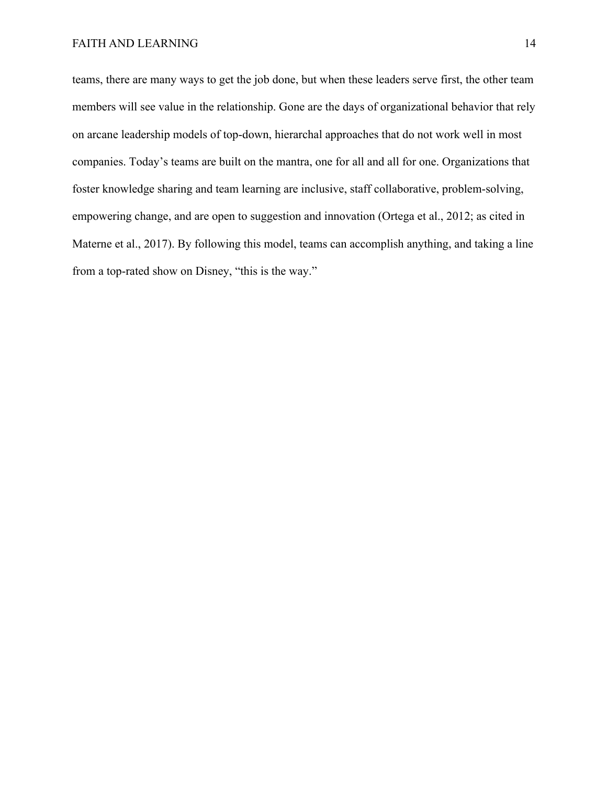teams, there are many ways to get the job done, but when these leaders serve first, the other team members will see value in the relationship. Gone are the days of organizational behavior that rely on arcane leadership models of top-down, hierarchal approaches that do not work well in most companies. Today's teams are built on the mantra, one for all and all for one. Organizations that foster knowledge sharing and team learning are inclusive, staff collaborative, problem-solving, empowering change, and are open to suggestion and innovation (Ortega et al., 2012; as cited in Materne et al., 2017). By following this model, teams can accomplish anything, and taking a line from a top-rated show on Disney, "this is the way."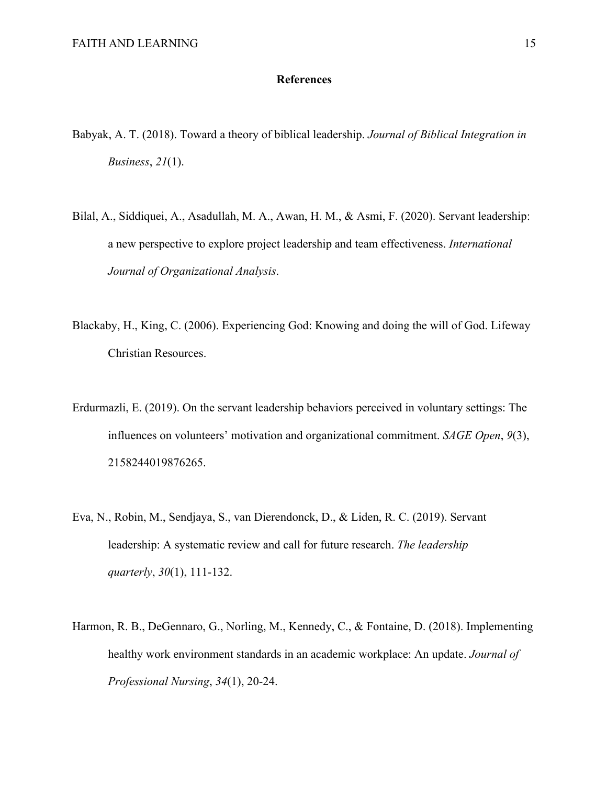### **References**

- Babyak, A. T. (2018). Toward a theory of biblical leadership. *Journal of Biblical Integration in Business*, *21*(1).
- Bilal, A., Siddiquei, A., Asadullah, M. A., Awan, H. M., & Asmi, F. (2020). Servant leadership: a new perspective to explore project leadership and team effectiveness. *International Journal of Organizational Analysis*.
- Blackaby, H., King, C. (2006). Experiencing God: Knowing and doing the will of God. Lifeway Christian Resources.
- Erdurmazli, E. (2019). On the servant leadership behaviors perceived in voluntary settings: The influences on volunteers' motivation and organizational commitment. *SAGE Open*, *9*(3), 2158244019876265.
- Eva, N., Robin, M., Sendjaya, S., van Dierendonck, D., & Liden, R. C. (2019). Servant leadership: A systematic review and call for future research. *The leadership quarterly*, *30*(1), 111-132.
- Harmon, R. B., DeGennaro, G., Norling, M., Kennedy, C., & Fontaine, D. (2018). Implementing healthy work environment standards in an academic workplace: An update. *Journal of Professional Nursing*, *34*(1), 20-24.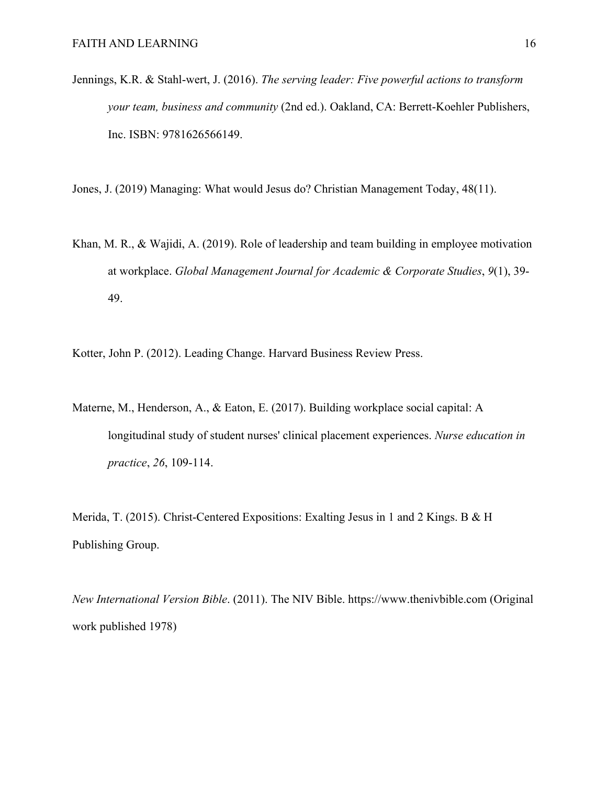Jennings, K.R. & Stahl-wert, J. (2016). *The serving leader: Five powerful actions to transform your team, business and community* (2nd ed.). Oakland, CA: Berrett-Koehler Publishers, Inc. ISBN: 9781626566149.

Jones, J. (2019) Managing: What would Jesus do? Christian Management Today, 48(11).

Khan, M. R., & Wajidi, A. (2019). Role of leadership and team building in employee motivation at workplace. *Global Management Journal for Academic & Corporate Studies*, *9*(1), 39- 49.

Kotter, John P. (2012). Leading Change. Harvard Business Review Press.

Materne, M., Henderson, A., & Eaton, E. (2017). Building workplace social capital: A longitudinal study of student nurses' clinical placement experiences. *Nurse education in practice*, *26*, 109-114.

Merida, T. (2015). Christ-Centered Expositions: Exalting Jesus in 1 and 2 Kings. B & H Publishing Group.

*New International Version Bible*. (2011). The NIV Bible. https://www.thenivbible.com (Original work published 1978)